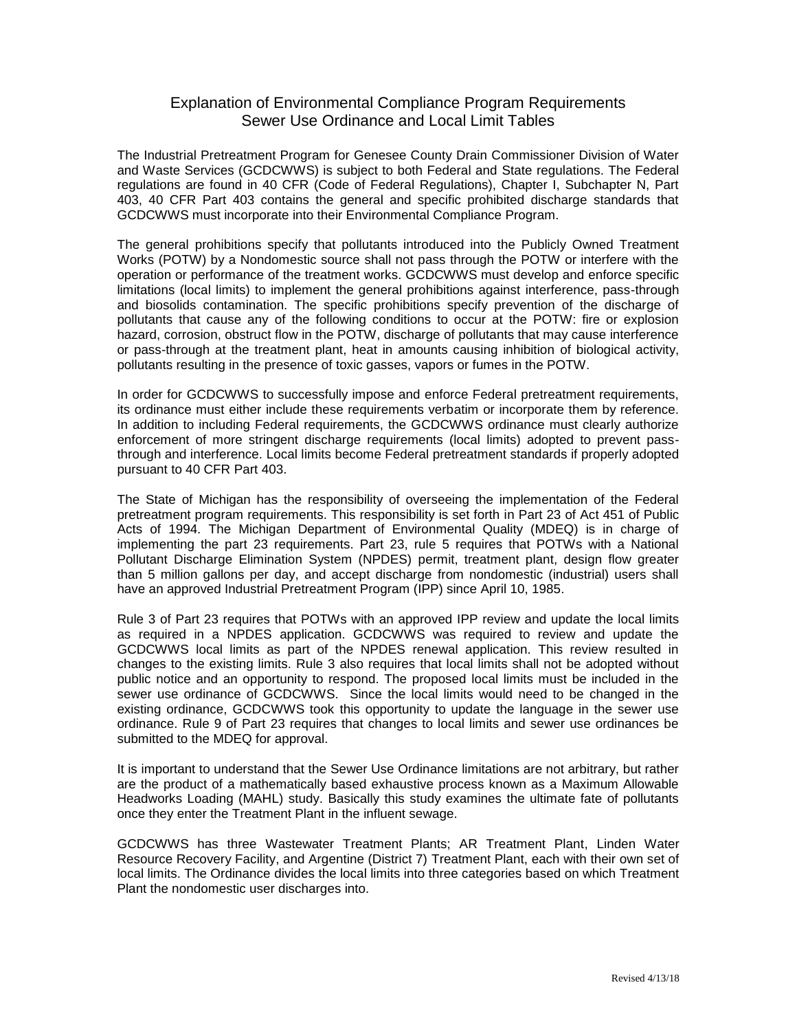## Explanation of Environmental Compliance Program Requirements Sewer Use Ordinance and Local Limit Tables

The Industrial Pretreatment Program for Genesee County Drain Commissioner Division of Water and Waste Services (GCDCWWS) is subject to both Federal and State regulations. The Federal regulations are found in 40 CFR (Code of Federal Regulations), Chapter I, Subchapter N, Part 403, 40 CFR Part 403 contains the general and specific prohibited discharge standards that GCDCWWS must incorporate into their Environmental Compliance Program.

The general prohibitions specify that pollutants introduced into the Publicly Owned Treatment Works (POTW) by a Nondomestic source shall not pass through the POTW or interfere with the operation or performance of the treatment works. GCDCWWS must develop and enforce specific limitations (local limits) to implement the general prohibitions against interference, pass-through and biosolids contamination. The specific prohibitions specify prevention of the discharge of pollutants that cause any of the following conditions to occur at the POTW: fire or explosion hazard, corrosion, obstruct flow in the POTW, discharge of pollutants that may cause interference or pass-through at the treatment plant, heat in amounts causing inhibition of biological activity, pollutants resulting in the presence of toxic gasses, vapors or fumes in the POTW.

In order for GCDCWWS to successfully impose and enforce Federal pretreatment requirements, its ordinance must either include these requirements verbatim or incorporate them by reference. In addition to including Federal requirements, the GCDCWWS ordinance must clearly authorize enforcement of more stringent discharge requirements (local limits) adopted to prevent passthrough and interference. Local limits become Federal pretreatment standards if properly adopted pursuant to 40 CFR Part 403.

The State of Michigan has the responsibility of overseeing the implementation of the Federal pretreatment program requirements. This responsibility is set forth in Part 23 of Act 451 of Public Acts of 1994. The Michigan Department of Environmental Quality (MDEQ) is in charge of implementing the part 23 requirements. Part 23, rule 5 requires that POTWs with a National Pollutant Discharge Elimination System (NPDES) permit, treatment plant, design flow greater than 5 million gallons per day, and accept discharge from nondomestic (industrial) users shall have an approved Industrial Pretreatment Program (IPP) since April 10, 1985.

Rule 3 of Part 23 requires that POTWs with an approved IPP review and update the local limits as required in a NPDES application. GCDCWWS was required to review and update the GCDCWWS local limits as part of the NPDES renewal application. This review resulted in changes to the existing limits. Rule 3 also requires that local limits shall not be adopted without public notice and an opportunity to respond. The proposed local limits must be included in the sewer use ordinance of GCDCWWS. Since the local limits would need to be changed in the existing ordinance, GCDCWWS took this opportunity to update the language in the sewer use ordinance. Rule 9 of Part 23 requires that changes to local limits and sewer use ordinances be submitted to the MDEQ for approval.

It is important to understand that the Sewer Use Ordinance limitations are not arbitrary, but rather are the product of a mathematically based exhaustive process known as a Maximum Allowable Headworks Loading (MAHL) study. Basically this study examines the ultimate fate of pollutants once they enter the Treatment Plant in the influent sewage.

GCDCWWS has three Wastewater Treatment Plants; AR Treatment Plant, Linden Water Resource Recovery Facility, and Argentine (District 7) Treatment Plant, each with their own set of local limits. The Ordinance divides the local limits into three categories based on which Treatment Plant the nondomestic user discharges into.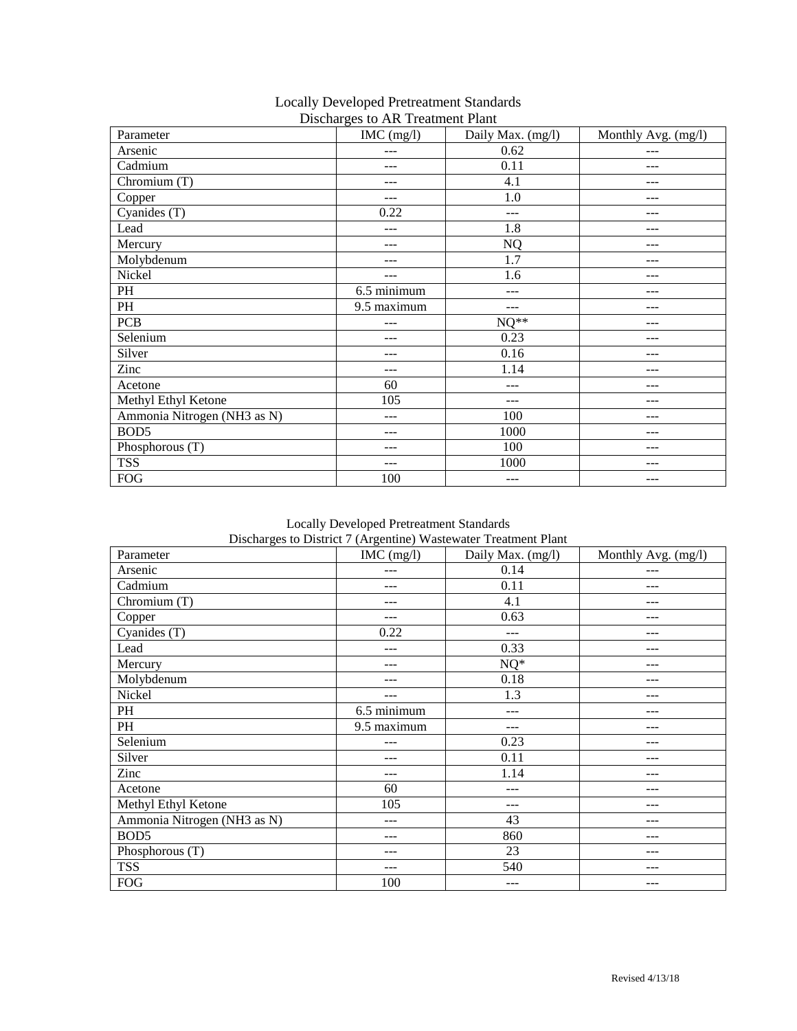|                             | Discharges to AR Treatment Flam |                   |                     |
|-----------------------------|---------------------------------|-------------------|---------------------|
| Parameter                   | IMC (mg/l)                      | Daily Max. (mg/l) | Monthly Avg. (mg/l) |
| Arsenic                     | $---$                           | 0.62              | $---$               |
| Cadmium                     | ---                             | 0.11              | ---                 |
| Chromium (T)                | ---                             | 4.1               | ---                 |
| Copper                      | ---                             | 1.0               | ---                 |
| Cyanides (T)                | 0.22                            | $---$             | $---$               |
| Lead                        | $---$                           | 1.8               | ---                 |
| Mercury                     | $---$                           | <b>NQ</b>         | ---                 |
| Molybdenum                  | $---$                           | 1.7               | ---                 |
| Nickel                      | ---                             | 1.6               | ---                 |
| PH                          | 6.5 minimum                     | ---               | ---                 |
| PH                          | 9.5 maximum                     | ---               | ---                 |
| PCB                         | ---                             | $NQ^{**}$         | ---                 |
| Selenium                    | $---$                           | 0.23              | ---                 |
| Silver                      | ---                             | 0.16              | ---                 |
| Zinc                        | $---$                           | 1.14              | ---                 |
| Acetone                     | 60                              | ---               | $---$               |
| Methyl Ethyl Ketone         | 105                             | ---               | ---                 |
| Ammonia Nitrogen (NH3 as N) | $---$                           | 100               | ---                 |
| BOD <sub>5</sub>            | ---                             | 1000              | ---                 |
| Phosphorous (T)             | ---                             | 100               | ---                 |
| <b>TSS</b>                  | ---                             | 1000              | ---                 |
| <b>FOG</b>                  | 100                             | $---$             | ---                 |

## Locally Developed Pretreatment Standards Discharges to AR Treatment Plant

Locally Developed Pretreatment Standards Discharges to District 7 (Argentine) Wastewater Treatment Plant

| Parameter                   | $IMC$ (mg/l) | Discharges to District? (Theorems) waste water Treatment Franc<br>Daily Max. (mg/l) | Monthly Avg. (mg/l) |
|-----------------------------|--------------|-------------------------------------------------------------------------------------|---------------------|
| Arsenic                     | $---$        | 0.14                                                                                | ---                 |
| Cadmium                     | $---$        | 0.11                                                                                | $---$               |
| Chromium (T)                | ---          | 4.1                                                                                 | ---                 |
| Copper                      | $---$        | 0.63                                                                                | ---                 |
| Cyanides (T)                | 0.22         | ---                                                                                 | ---                 |
| Lead                        | ---          | 0.33                                                                                | ---                 |
| Mercury                     | $---$        | $NQ^*$                                                                              | ---                 |
| Molybdenum                  | ---          | 0.18                                                                                | ---                 |
| Nickel                      | $---$        | 1.3                                                                                 | ---                 |
| PH                          | 6.5 minimum  | $---$                                                                               | ---                 |
| PH                          | 9.5 maximum  | ---                                                                                 | $---$               |
| Selenium                    | ---          | 0.23                                                                                | $---$               |
| Silver                      | $---$        | 0.11                                                                                | ---                 |
| Zinc                        | ---          | 1.14                                                                                | ---                 |
| Acetone                     | 60           | ---                                                                                 | ---                 |
| Methyl Ethyl Ketone         | 105          | ---                                                                                 | ---                 |
| Ammonia Nitrogen (NH3 as N) | ---          | 43                                                                                  | $---$               |
| BOD <sub>5</sub>            | ---          | 860                                                                                 | ---                 |
| Phosphorous (T)             | $---$        | 23                                                                                  | ---                 |
| <b>TSS</b>                  | ---          | 540                                                                                 | ---                 |
| <b>FOG</b>                  | 100          | ---                                                                                 | ---                 |